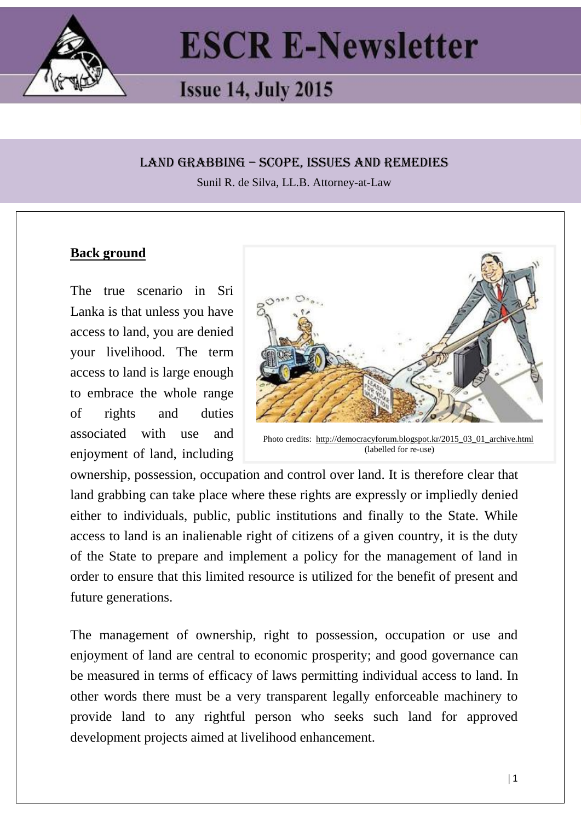

# **ESCR E-Newsletter**

# **Issue 14, July 2015**

#### LAND GRABBING – SCOPE, ISSUES AND REMEDIES

Sunil R. de Silva, LL.B. Attorney-at-Law

#### **Back ground**

The true scenario in Sri Lanka is that unless you have access to land, you are denied your livelihood. The term access to land is large enough to embrace the whole range of rights and duties associated with use and enjoyment of land, including



Photo credits: [http://democracyforum.blogspot.kr/2015\\_03\\_01\\_archive.html](http://democracyforum.blogspot.kr/2015_03_01_archive.html) (labelled for re-use)

ownership, possession, occupation and control over land. It is therefore clear that land grabbing can take place where these rights are expressly or impliedly denied either to individuals, public, public institutions and finally to the State. While access to land is an inalienable right of citizens of a given country, it is the duty of the State to prepare and implement a policy for the management of land in order to ensure that this limited resource is utilized for the benefit of present and future generations.

The management of ownership, right to possession, occupation or use and enjoyment of land are central to economic prosperity; and good governance can be measured in terms of efficacy of laws permitting individual access to land. In other words there must be a very transparent legally enforceable machinery to provide land to any rightful person who seeks such land for approved development projects aimed at livelihood enhancement.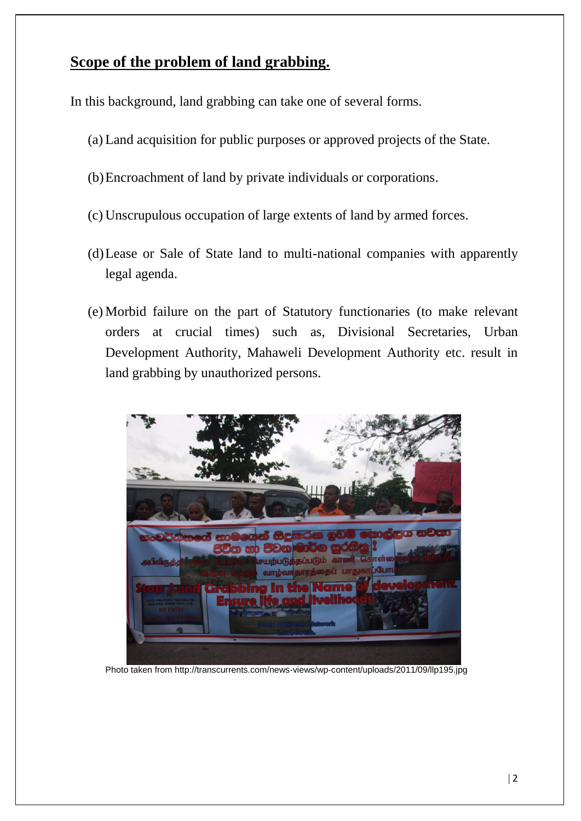## **Scope of the problem of land grabbing.**

In this background, land grabbing can take one of several forms.

- (a) Land acquisition for public purposes or approved projects of the State.
- (b)Encroachment of land by private individuals or corporations.
- (c) Unscrupulous occupation of large extents of land by armed forces.
- (d)Lease or Sale of State land to multi-national companies with apparently legal agenda.
- (e) Morbid failure on the part of Statutory functionaries (to make relevant orders at crucial times) such as, Divisional Secretaries, Urban Development Authority, Mahaweli Development Authority etc. result in land grabbing by unauthorized persons.



Photo taken from http://transcurrents.com/news-views/wp-content/uploads/2011/09/llp195.jpg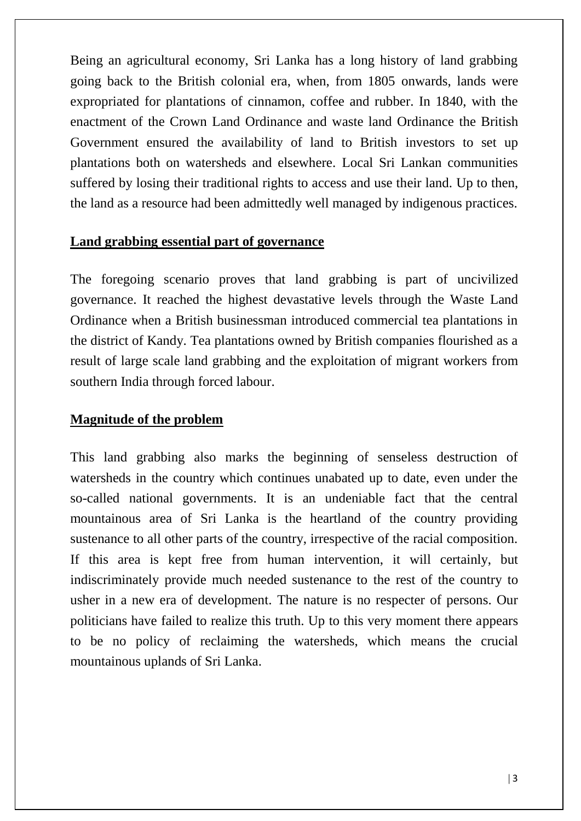Being an agricultural economy, Sri Lanka has a long history of land grabbing going back to the British colonial era, when, from 1805 onwards, lands were expropriated for plantations of cinnamon, coffee and rubber. In 1840, with the enactment of the Crown Land Ordinance and waste land Ordinance the British Government ensured the availability of land to British investors to set up plantations both on watersheds and elsewhere. Local Sri Lankan communities suffered by losing their traditional rights to access and use their land. Up to then, the land as a resource had been admittedly well managed by indigenous practices.

#### **Land grabbing essential part of governance**

The foregoing scenario proves that land grabbing is part of uncivilized governance. It reached the highest devastative levels through the Waste Land Ordinance when a British businessman introduced commercial tea plantations in the district of Kandy. Tea plantations owned by British companies flourished as a result of large scale land grabbing and the exploitation of migrant workers from southern India through forced labour.

### **Magnitude of the problem**

This land grabbing also marks the beginning of senseless destruction of watersheds in the country which continues unabated up to date, even under the so-called national governments. It is an undeniable fact that the central mountainous area of Sri Lanka is the heartland of the country providing sustenance to all other parts of the country, irrespective of the racial composition. If this area is kept free from human intervention, it will certainly, but indiscriminately provide much needed sustenance to the rest of the country to usher in a new era of development. The nature is no respecter of persons. Our politicians have failed to realize this truth. Up to this very moment there appears to be no policy of reclaiming the watersheds, which means the crucial mountainous uplands of Sri Lanka.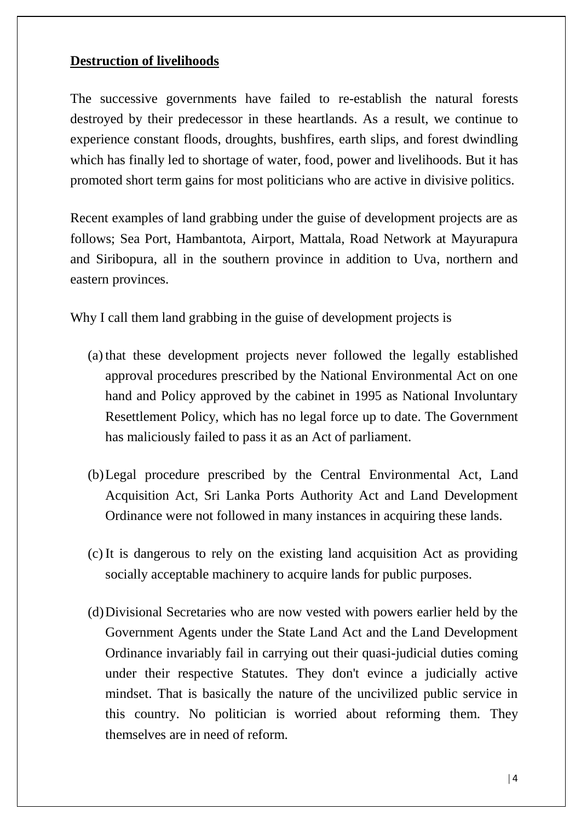#### **Destruction of livelihoods**

The successive governments have failed to re-establish the natural forests destroyed by their predecessor in these heartlands. As a result, we continue to experience constant floods, droughts, bushfires, earth slips, and forest dwindling which has finally led to shortage of water, food, power and livelihoods. But it has promoted short term gains for most politicians who are active in divisive politics.

Recent examples of land grabbing under the guise of development projects are as follows; Sea Port, Hambantota, Airport, Mattala, Road Network at Mayurapura and Siribopura, all in the southern province in addition to Uva, northern and eastern provinces.

Why I call them land grabbing in the guise of development projects is

- (a) that these development projects never followed the legally established approval procedures prescribed by the National Environmental Act on one hand and Policy approved by the cabinet in 1995 as National Involuntary Resettlement Policy, which has no legal force up to date. The Government has maliciously failed to pass it as an Act of parliament.
- (b)Legal procedure prescribed by the Central Environmental Act, Land Acquisition Act, Sri Lanka Ports Authority Act and Land Development Ordinance were not followed in many instances in acquiring these lands.
- (c) It is dangerous to rely on the existing land acquisition Act as providing socially acceptable machinery to acquire lands for public purposes.
- (d)Divisional Secretaries who are now vested with powers earlier held by the Government Agents under the State Land Act and the Land Development Ordinance invariably fail in carrying out their quasi-judicial duties coming under their respective Statutes. They don't evince a judicially active mindset. That is basically the nature of the uncivilized public service in this country. No politician is worried about reforming them. They themselves are in need of reform.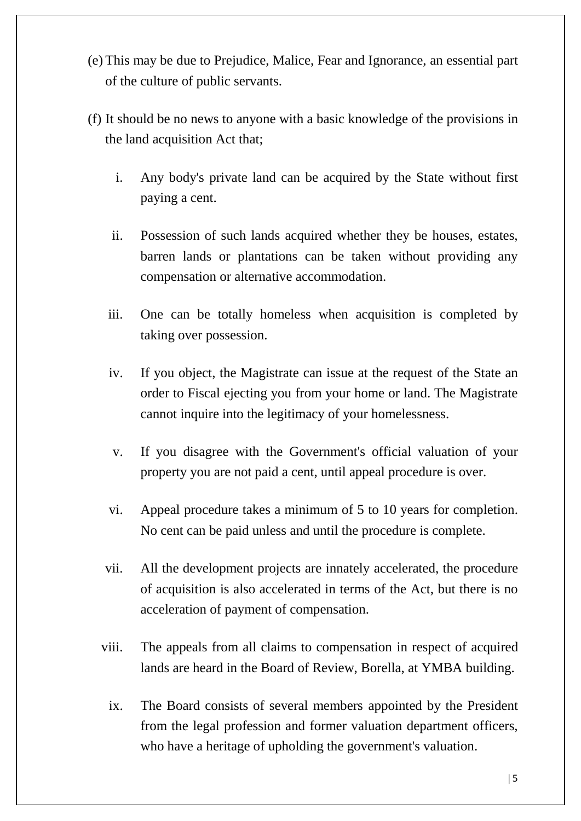- (e) This may be due to Prejudice, Malice, Fear and Ignorance, an essential part of the culture of public servants.
- (f) It should be no news to anyone with a basic knowledge of the provisions in the land acquisition Act that;
	- i. Any body's private land can be acquired by the State without first paying a cent.
	- ii. Possession of such lands acquired whether they be houses, estates, barren lands or plantations can be taken without providing any compensation or alternative accommodation.
	- iii. One can be totally homeless when acquisition is completed by taking over possession.
	- iv. If you object, the Magistrate can issue at the request of the State an order to Fiscal ejecting you from your home or land. The Magistrate cannot inquire into the legitimacy of your homelessness.
	- v. If you disagree with the Government's official valuation of your property you are not paid a cent, until appeal procedure is over.
	- vi. Appeal procedure takes a minimum of 5 to 10 years for completion. No cent can be paid unless and until the procedure is complete.
	- vii. All the development projects are innately accelerated, the procedure of acquisition is also accelerated in terms of the Act, but there is no acceleration of payment of compensation.
	- viii. The appeals from all claims to compensation in respect of acquired lands are heard in the Board of Review, Borella, at YMBA building.
	- ix. The Board consists of several members appointed by the President from the legal profession and former valuation department officers, who have a heritage of upholding the government's valuation.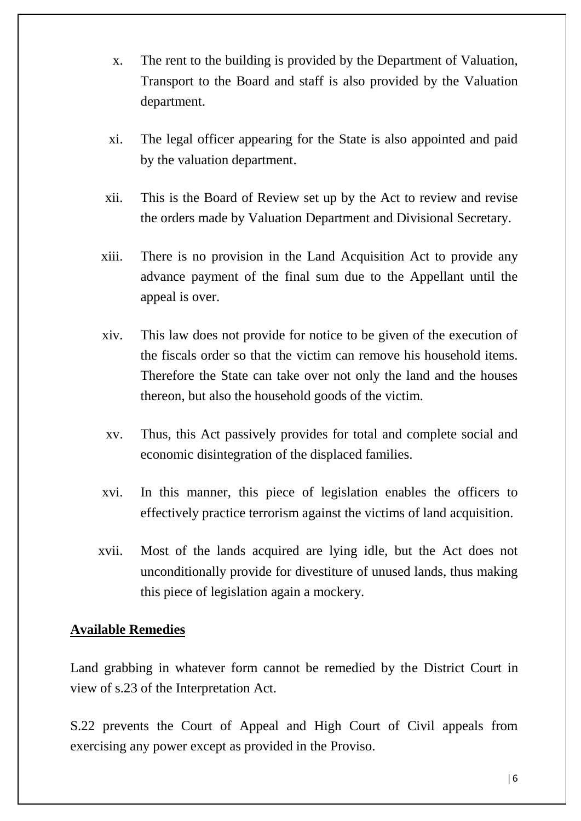- x. The rent to the building is provided by the Department of Valuation, Transport to the Board and staff is also provided by the Valuation department.
- xi. The legal officer appearing for the State is also appointed and paid by the valuation department.
- xii. This is the Board of Review set up by the Act to review and revise the orders made by Valuation Department and Divisional Secretary.
- xiii. There is no provision in the Land Acquisition Act to provide any advance payment of the final sum due to the Appellant until the appeal is over.
- xiv. This law does not provide for notice to be given of the execution of the fiscals order so that the victim can remove his household items. Therefore the State can take over not only the land and the houses thereon, but also the household goods of the victim.
- xv. Thus, this Act passively provides for total and complete social and economic disintegration of the displaced families.
- xvi. In this manner, this piece of legislation enables the officers to effectively practice terrorism against the victims of land acquisition.
- xvii. Most of the lands acquired are lying idle, but the Act does not unconditionally provide for divestiture of unused lands, thus making this piece of legislation again a mockery.

#### **Available Remedies**

Land grabbing in whatever form cannot be remedied by the District Court in view of s.23 of the Interpretation Act.

S.22 prevents the Court of Appeal and High Court of Civil appeals from exercising any power except as provided in the Proviso.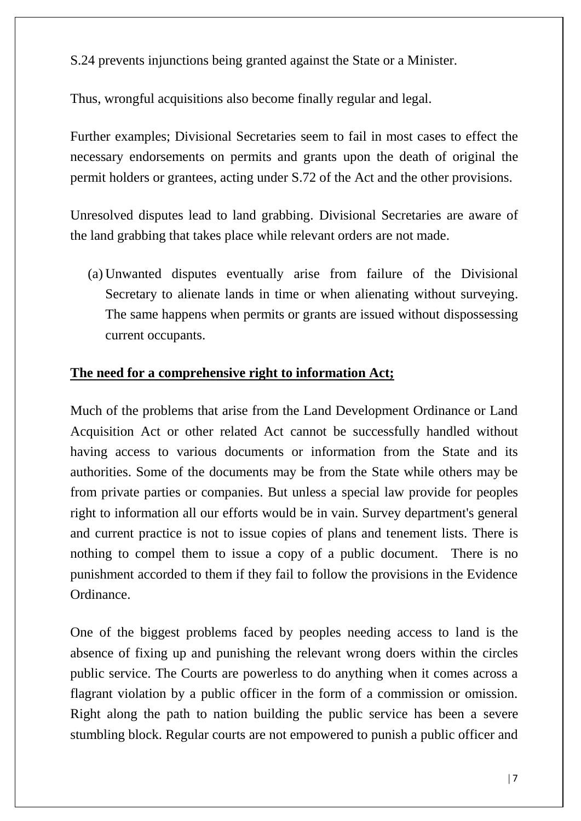S.24 prevents injunctions being granted against the State or a Minister.

Thus, wrongful acquisitions also become finally regular and legal.

Further examples; Divisional Secretaries seem to fail in most cases to effect the necessary endorsements on permits and grants upon the death of original the permit holders or grantees, acting under S.72 of the Act and the other provisions.

Unresolved disputes lead to land grabbing. Divisional Secretaries are aware of the land grabbing that takes place while relevant orders are not made.

(a) Unwanted disputes eventually arise from failure of the Divisional Secretary to alienate lands in time or when alienating without surveying. The same happens when permits or grants are issued without dispossessing current occupants.

#### **The need for a comprehensive right to information Act;**

Much of the problems that arise from the Land Development Ordinance or Land Acquisition Act or other related Act cannot be successfully handled without having access to various documents or information from the State and its authorities. Some of the documents may be from the State while others may be from private parties or companies. But unless a special law provide for peoples right to information all our efforts would be in vain. Survey department's general and current practice is not to issue copies of plans and tenement lists. There is nothing to compel them to issue a copy of a public document. There is no punishment accorded to them if they fail to follow the provisions in the Evidence Ordinance.

One of the biggest problems faced by peoples needing access to land is the absence of fixing up and punishing the relevant wrong doers within the circles public service. The Courts are powerless to do anything when it comes across a flagrant violation by a public officer in the form of a commission or omission. Right along the path to nation building the public service has been a severe stumbling block. Regular courts are not empowered to punish a public officer and